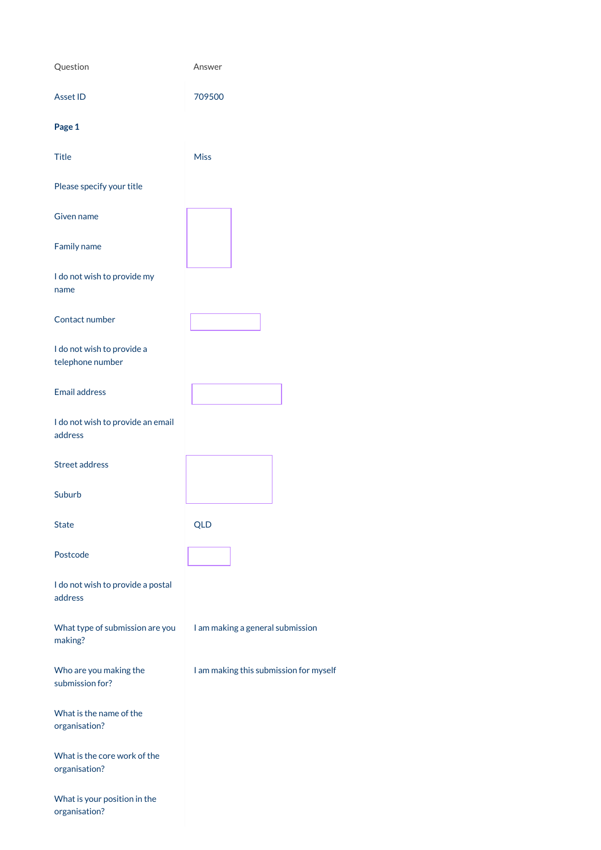| Question                                       | Answer                           |
|------------------------------------------------|----------------------------------|
| <b>Asset ID</b>                                | 709500                           |
| Page 1                                         |                                  |
| <b>Title</b>                                   | <b>Miss</b>                      |
| Please specify your title                      |                                  |
| Given name                                     |                                  |
| Family name                                    |                                  |
| I do not wish to provide my<br>name            |                                  |
| Contact number                                 |                                  |
| I do not wish to provide a<br>telephone number |                                  |
| <b>Email address</b>                           |                                  |
| I do not wish to provide an email<br>address   |                                  |
| <b>Street address</b>                          |                                  |
| Suburb                                         |                                  |
| <b>State</b>                                   | <b>QLD</b>                       |
| Postcode                                       |                                  |
| I do not wish to provide a postal<br>address   |                                  |
| What type of submission are you                | I am making a general submission |

making?

Who are you making the submission for?

I am making this submission for myself

What is the name of the organisation?

What is the core work of the organisation?

What is your position in the organisation?